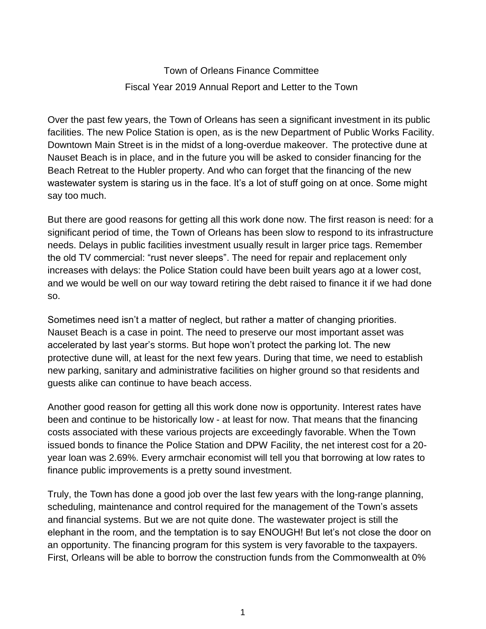Town of Orleans Finance Committee Fiscal Year 2019 Annual Report and Letter to the Town

Over the past few years, the Town of Orleans has seen a significant investment in its public facilities. The new Police Station is open, as is the new Department of Public Works Facility. Downtown Main Street is in the midst of a long-overdue makeover. The protective dune at Nauset Beach is in place, and in the future you will be asked to consider financing for the Beach Retreat to the Hubler property. And who can forget that the financing of the new wastewater system is staring us in the face. It's a lot of stuff going on at once. Some might say too much.

But there are good reasons for getting all this work done now. The first reason is need: for a significant period of time, the Town of Orleans has been slow to respond to its infrastructure needs. Delays in public facilities investment usually result in larger price tags. Remember the old TV commercial: "rust never sleeps". The need for repair and replacement only increases with delays: the Police Station could have been built years ago at a lower cost, and we would be well on our way toward retiring the debt raised to finance it if we had done so.

Sometimes need isn't a matter of neglect, but rather a matter of changing priorities. Nauset Beach is a case in point. The need to preserve our most important asset was accelerated by last year's storms. But hope won't protect the parking lot. The new protective dune will, at least for the next few years. During that time, we need to establish new parking, sanitary and administrative facilities on higher ground so that residents and guests alike can continue to have beach access.

Another good reason for getting all this work done now is opportunity. Interest rates have been and continue to be historically low - at least for now. That means that the financing costs associated with these various projects are exceedingly favorable. When the Town issued bonds to finance the Police Station and DPW Facility, the net interest cost for a 20 year loan was 2.69%. Every armchair economist will tell you that borrowing at low rates to finance public improvements is a pretty sound investment.

Truly, the Town has done a good job over the last few years with the long-range planning, scheduling, maintenance and control required for the management of the Town's assets and financial systems. But we are not quite done. The wastewater project is still the elephant in the room, and the temptation is to say ENOUGH! But let's not close the door on an opportunity. The financing program for this system is very favorable to the taxpayers. First, Orleans will be able to borrow the construction funds from the Commonwealth at 0%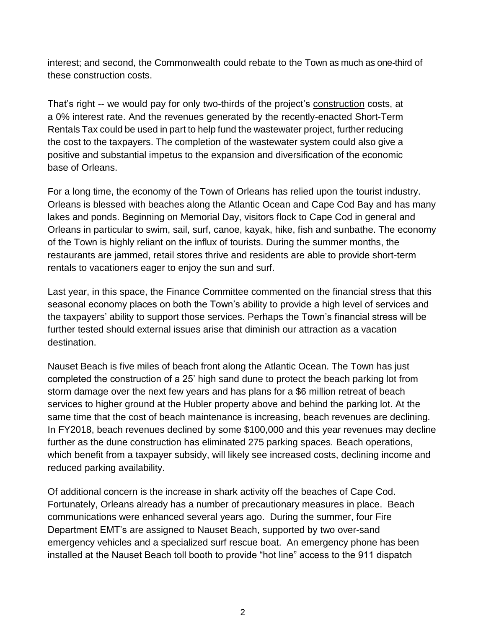interest; and second, the Commonwealth could rebate to the Town as much as one-third of these construction costs.

That's right -- we would pay for only two-thirds of the project's construction costs, at a 0% interest rate. And the revenues generated by the recently-enacted Short-Term Rentals Tax could be used in part to help fund the wastewater project, further reducing the cost to the taxpayers. The completion of the wastewater system could also give a positive and substantial impetus to the expansion and diversification of the economic base of Orleans.

For a long time, the economy of the Town of Orleans has relied upon the tourist industry. Orleans is blessed with beaches along the Atlantic Ocean and Cape Cod Bay and has many lakes and ponds. Beginning on Memorial Day, visitors flock to Cape Cod in general and Orleans in particular to swim, sail, surf, canoe, kayak, hike, fish and sunbathe. The economy of the Town is highly reliant on the influx of tourists. During the summer months, the restaurants are jammed, retail stores thrive and residents are able to provide short-term rentals to vacationers eager to enjoy the sun and surf.

Last year, in this space, the Finance Committee commented on the financial stress that this seasonal economy places on both the Town's ability to provide a high level of services and the taxpayers' ability to support those services. Perhaps the Town's financial stress will be further tested should external issues arise that diminish our attraction as a vacation destination.

Nauset Beach is five miles of beach front along the Atlantic Ocean. The Town has just completed the construction of a 25' high sand dune to protect the beach parking lot from storm damage over the next few years and has plans for a \$6 million retreat of beach services to higher ground at the Hubler property above and behind the parking lot. At the same time that the cost of beach maintenance is increasing, beach revenues are declining. In FY2018, beach revenues declined by some \$100,000 and this year revenues may decline further as the dune construction has eliminated 275 parking spaces. Beach operations, which benefit from a taxpayer subsidy, will likely see increased costs, declining income and reduced parking availability.

Of additional concern is the increase in shark activity off the beaches of Cape Cod. Fortunately, Orleans already has a number of precautionary measures in place. Beach communications were enhanced several years ago. During the summer, four Fire Department EMT's are assigned to Nauset Beach, supported by two over-sand emergency vehicles and a specialized surf rescue boat. An emergency phone has been installed at the Nauset Beach toll booth to provide "hot line" access to the 911 dispatch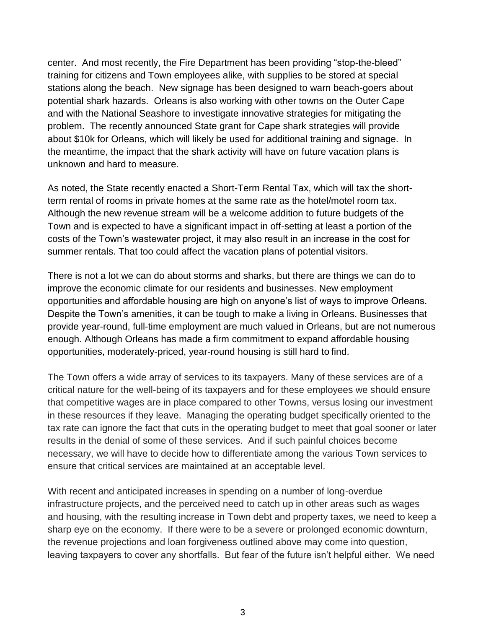center. And most recently, the Fire Department has been providing "stop-the-bleed" training for citizens and Town employees alike, with supplies to be stored at special stations along the beach. New signage has been designed to warn beach-goers about potential shark hazards. Orleans is also working with other towns on the Outer Cape and with the National Seashore to investigate innovative strategies for mitigating the problem. The recently announced State grant for Cape shark strategies will provide about \$10k for Orleans, which will likely be used for additional training and signage. In the meantime, the impact that the shark activity will have on future vacation plans is unknown and hard to measure.

As noted, the State recently enacted a Short-Term Rental Tax, which will tax the shortterm rental of rooms in private homes at the same rate as the hotel/motel room tax. Although the new revenue stream will be a welcome addition to future budgets of the Town and is expected to have a significant impact in off-setting at least a portion of the costs of the Town's wastewater project, it may also result in an increase in the cost for summer rentals. That too could affect the vacation plans of potential visitors.

There is not a lot we can do about storms and sharks, but there are things we can do to improve the economic climate for our residents and businesses. New employment opportunities and affordable housing are high on anyone's list of ways to improve Orleans. Despite the Town's amenities, it can be tough to make a living in Orleans. Businesses that provide year-round, full-time employment are much valued in Orleans, but are not numerous enough. Although Orleans has made a firm commitment to expand affordable housing opportunities, moderately-priced, year-round housing is still hard to find.

The Town offers a wide array of services to its taxpayers. Many of these services are of a critical nature for the well-being of its taxpayers and for these employees we should ensure that competitive wages are in place compared to other Towns, versus losing our investment in these resources if they leave. Managing the operating budget specifically oriented to the tax rate can ignore the fact that cuts in the operating budget to meet that goal sooner or later results in the denial of some of these services. And if such painful choices become necessary, we will have to decide how to differentiate among the various Town services to ensure that critical services are maintained at an acceptable level.

With recent and anticipated increases in spending on a number of long-overdue infrastructure projects, and the perceived need to catch up in other areas such as wages and housing, with the resulting increase in Town debt and property taxes, we need to keep a sharp eye on the economy. If there were to be a severe or prolonged economic downturn, the revenue projections and loan forgiveness outlined above may come into question, leaving taxpayers to cover any shortfalls. But fear of the future isn't helpful either. We need